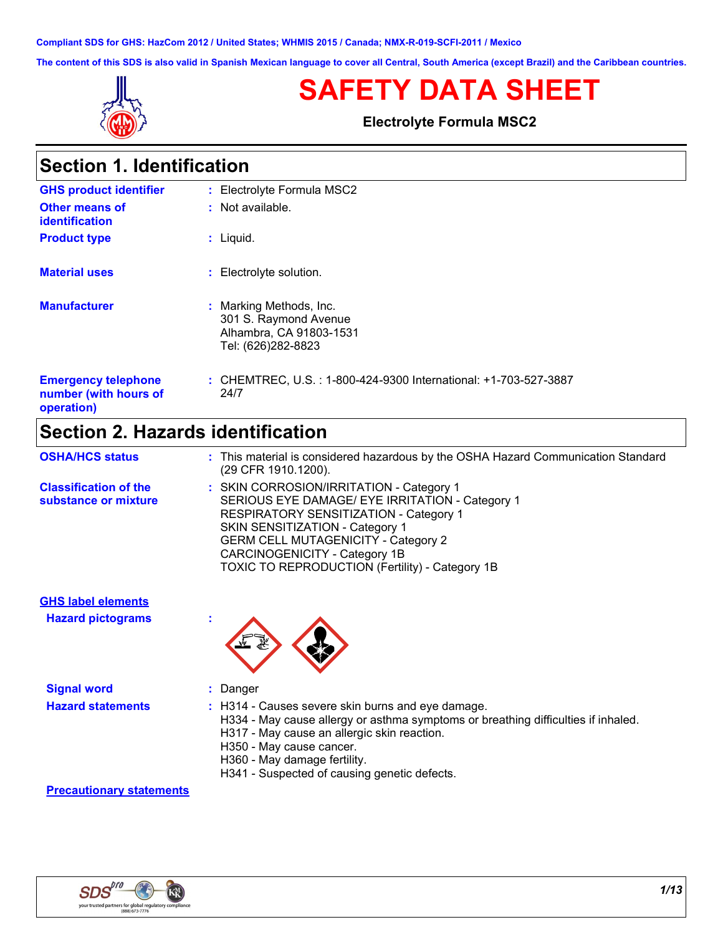**Compliant SDS for GHS: HazCom 2012 / United States; WHMIS 2015 / Canada; NMX-R-019-SCFI-2011 / Mexico**

**The content of this SDS is also valid in Spanish Mexican language to cover all Central, South America (except Brazil) and the Caribbean countries.**



**Section 1. Identification**

# **SAFETY DATA SHEET**

**Electrolyte Formula MSC2**

| OCCUCII II IUCHUICUUCHI                                           |                                                                                                   |
|-------------------------------------------------------------------|---------------------------------------------------------------------------------------------------|
| <b>GHS product identifier</b>                                     | : Electrolyte Formula MSC2                                                                        |
| <b>Other means of</b><br>identification                           | : Not available.                                                                                  |
| <b>Product type</b>                                               | $:$ Liquid.                                                                                       |
| <b>Material uses</b>                                              | : Electrolyte solution.                                                                           |
| <b>Manufacturer</b>                                               | : Marking Methods, Inc.<br>301 S. Raymond Avenue<br>Alhambra, CA 91803-1531<br>Tel: (626)282-8823 |
| <b>Emergency telephone</b><br>number (with hours of<br>operation) | : CHEMTREC, U.S.: 1-800-424-9300 International: +1-703-527-3887<br>24/7                           |

# **Section 2. Hazards identification**

| <b>OSHA/HCS status</b>                               | : This material is considered hazardous by the OSHA Hazard Communication Standard<br>(29 CFR 1910.1200).                                                                                                                                                                                                          |
|------------------------------------------------------|-------------------------------------------------------------------------------------------------------------------------------------------------------------------------------------------------------------------------------------------------------------------------------------------------------------------|
| <b>Classification of the</b><br>substance or mixture | : SKIN CORROSION/IRRITATION - Category 1<br>SERIOUS EYE DAMAGE/ EYE IRRITATION - Category 1<br>RESPIRATORY SENSITIZATION - Category 1<br>SKIN SENSITIZATION - Category 1<br><b>GERM CELL MUTAGENICITY - Category 2</b><br>CARCINOGENICITY - Category 1B<br><b>TOXIC TO REPRODUCTION (Fertility) - Category 1B</b> |

**GHS label elements**

**Hazard pictograms :**



| <b>Signal word</b>       | Danger                                                                                                                                                                                                                     |
|--------------------------|----------------------------------------------------------------------------------------------------------------------------------------------------------------------------------------------------------------------------|
| <b>Hazard statements</b> | : H314 - Causes severe skin burns and eye damage.<br>H334 - May cause allergy or asthma symptoms or breathing difficulties if inhaled.<br>H317 - May cause an allergic skin reaction.<br>$110F0 - M = 125F2 + 25F2 + 25F2$ |

- H350 May cause cancer.
- H360 May damage fertility.
- H341 Suspected of causing genetic defects.

#### **Precautionary statements**

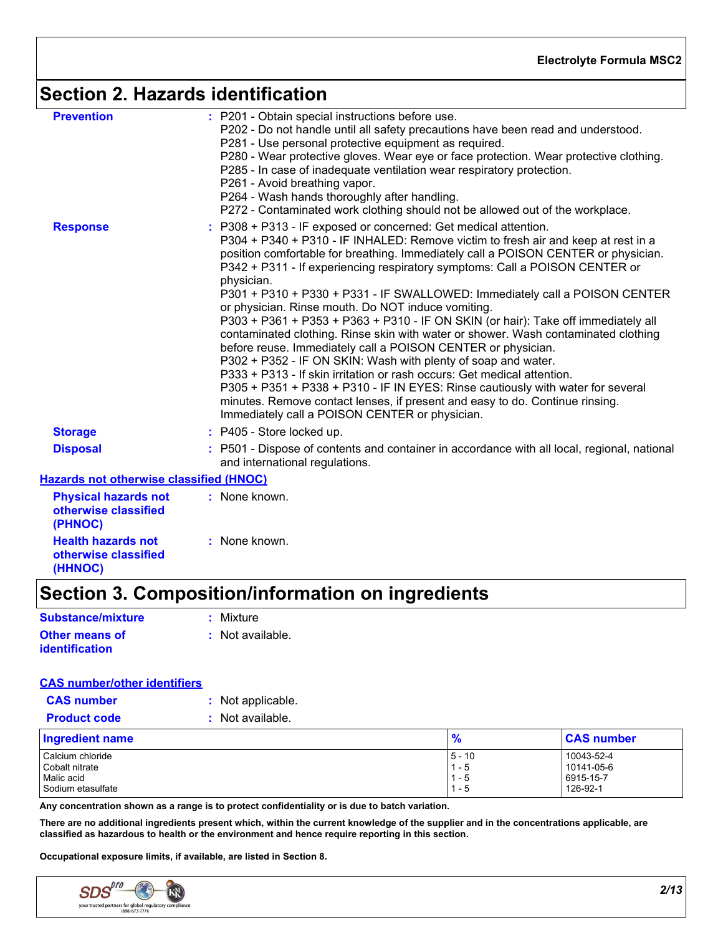### **Section 2. Hazards identification**

| <b>Prevention</b><br><b>Response</b>                           | : P201 - Obtain special instructions before use.<br>P202 - Do not handle until all safety precautions have been read and understood.<br>P281 - Use personal protective equipment as required.<br>P280 - Wear protective gloves. Wear eye or face protection. Wear protective clothing.<br>P285 - In case of inadequate ventilation wear respiratory protection.<br>P261 - Avoid breathing vapor.<br>P264 - Wash hands thoroughly after handling.<br>P272 - Contaminated work clothing should not be allowed out of the workplace.<br>P308 + P313 - IF exposed or concerned: Get medical attention.<br>P304 + P340 + P310 - IF INHALED: Remove victim to fresh air and keep at rest in a<br>position comfortable for breathing. Immediately call a POISON CENTER or physician.<br>P342 + P311 - If experiencing respiratory symptoms: Call a POISON CENTER or<br>physician.<br>P301 + P310 + P330 + P331 - IF SWALLOWED: Immediately call a POISON CENTER<br>or physician. Rinse mouth. Do NOT induce vomiting.<br>P303 + P361 + P353 + P363 + P310 - IF ON SKIN (or hair): Take off immediately all<br>contaminated clothing. Rinse skin with water or shower. Wash contaminated clothing<br>before reuse. Immediately call a POISON CENTER or physician.<br>P302 + P352 - IF ON SKIN: Wash with plenty of soap and water.<br>P333 + P313 - If skin irritation or rash occurs: Get medical attention.<br>P305 + P351 + P338 + P310 - IF IN EYES: Rinse cautiously with water for several<br>minutes. Remove contact lenses, if present and easy to do. Continue rinsing.<br>Immediately call a POISON CENTER or physician. |
|----------------------------------------------------------------|----------------------------------------------------------------------------------------------------------------------------------------------------------------------------------------------------------------------------------------------------------------------------------------------------------------------------------------------------------------------------------------------------------------------------------------------------------------------------------------------------------------------------------------------------------------------------------------------------------------------------------------------------------------------------------------------------------------------------------------------------------------------------------------------------------------------------------------------------------------------------------------------------------------------------------------------------------------------------------------------------------------------------------------------------------------------------------------------------------------------------------------------------------------------------------------------------------------------------------------------------------------------------------------------------------------------------------------------------------------------------------------------------------------------------------------------------------------------------------------------------------------------------------------------------------------------------------------------------------------------------|
| <b>Storage</b>                                                 | $:$ P405 - Store locked up.                                                                                                                                                                                                                                                                                                                                                                                                                                                                                                                                                                                                                                                                                                                                                                                                                                                                                                                                                                                                                                                                                                                                                                                                                                                                                                                                                                                                                                                                                                                                                                                                |
| <b>Disposal</b>                                                | P501 - Dispose of contents and container in accordance with all local, regional, national<br>and international regulations.                                                                                                                                                                                                                                                                                                                                                                                                                                                                                                                                                                                                                                                                                                                                                                                                                                                                                                                                                                                                                                                                                                                                                                                                                                                                                                                                                                                                                                                                                                |
| <b>Hazards not otherwise classified (HNOC)</b>                 |                                                                                                                                                                                                                                                                                                                                                                                                                                                                                                                                                                                                                                                                                                                                                                                                                                                                                                                                                                                                                                                                                                                                                                                                                                                                                                                                                                                                                                                                                                                                                                                                                            |
| <b>Physical hazards not</b><br>otherwise classified<br>(PHNOC) | : None known.                                                                                                                                                                                                                                                                                                                                                                                                                                                                                                                                                                                                                                                                                                                                                                                                                                                                                                                                                                                                                                                                                                                                                                                                                                                                                                                                                                                                                                                                                                                                                                                                              |
| <b>Health hazards not</b><br>otherwise classified              | : None known.                                                                                                                                                                                                                                                                                                                                                                                                                                                                                                                                                                                                                                                                                                                                                                                                                                                                                                                                                                                                                                                                                                                                                                                                                                                                                                                                                                                                                                                                                                                                                                                                              |

# **Section 3. Composition/information on ingredients**

| Substance/mixture     | : Mixture        |
|-----------------------|------------------|
| Other means of        | : Not available. |
| <i>identification</i> |                  |

#### **CAS number/other identifiers**

**(HHNOC)**

| <b>CAS number</b>   | : Not applicable. |
|---------------------|-------------------|
| <b>Product code</b> | : Not available.  |

| <b>Ingredient name</b> | 70        | <b>CAS number</b> |
|------------------------|-----------|-------------------|
| Calcium chloride       | $15 - 10$ | 10043-52-4        |
| Cobalt nitrate         | - 5       | 10141-05-6        |
| Malic acid             | - 5       | 6915-15-7         |
| Sodium etasulfate      | - 5       | 126-92-1          |

**Any concentration shown as a range is to protect confidentiality or is due to batch variation.**

**There are no additional ingredients present which, within the current knowledge of the supplier and in the concentrations applicable, are classified as hazardous to health or the environment and hence require reporting in this section.**

**Occupational exposure limits, if available, are listed in Section 8.**

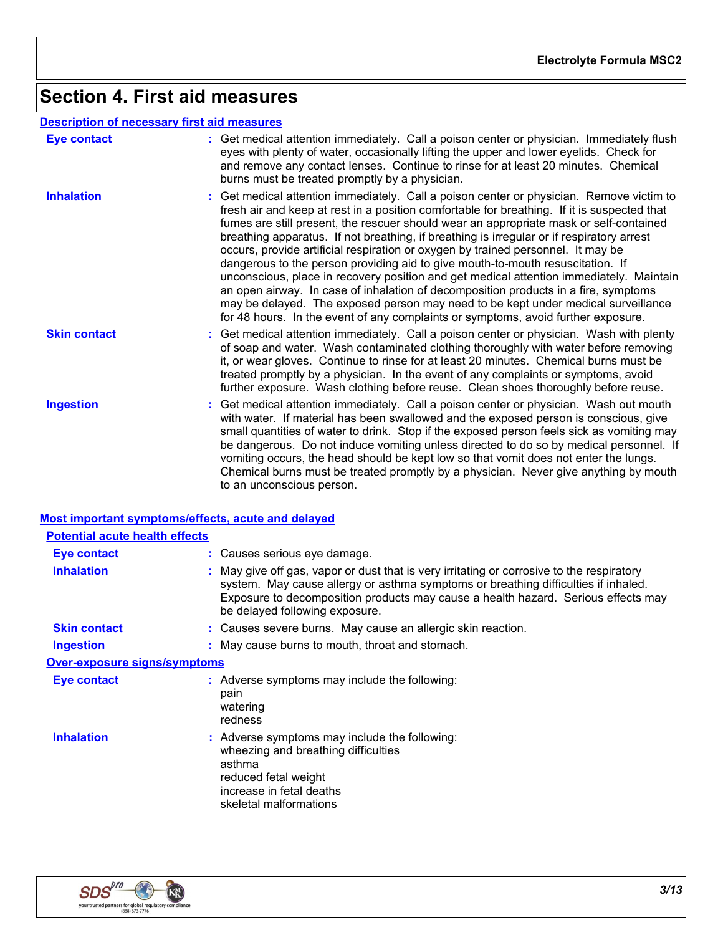# **Section 4. First aid measures**

#### **Description of necessary first aid measures**

| <b>Eye contact</b>  | : Get medical attention immediately. Call a poison center or physician. Immediately flush<br>eyes with plenty of water, occasionally lifting the upper and lower eyelids. Check for<br>and remove any contact lenses. Continue to rinse for at least 20 minutes. Chemical<br>burns must be treated promptly by a physician.                                                                                                                                                                                                                                                                                                                                                                                                                                                                                                                                                                                      |
|---------------------|------------------------------------------------------------------------------------------------------------------------------------------------------------------------------------------------------------------------------------------------------------------------------------------------------------------------------------------------------------------------------------------------------------------------------------------------------------------------------------------------------------------------------------------------------------------------------------------------------------------------------------------------------------------------------------------------------------------------------------------------------------------------------------------------------------------------------------------------------------------------------------------------------------------|
| <b>Inhalation</b>   | : Get medical attention immediately. Call a poison center or physician. Remove victim to<br>fresh air and keep at rest in a position comfortable for breathing. If it is suspected that<br>fumes are still present, the rescuer should wear an appropriate mask or self-contained<br>breathing apparatus. If not breathing, if breathing is irregular or if respiratory arrest<br>occurs, provide artificial respiration or oxygen by trained personnel. It may be<br>dangerous to the person providing aid to give mouth-to-mouth resuscitation. If<br>unconscious, place in recovery position and get medical attention immediately. Maintain<br>an open airway. In case of inhalation of decomposition products in a fire, symptoms<br>may be delayed. The exposed person may need to be kept under medical surveillance<br>for 48 hours. In the event of any complaints or symptoms, avoid further exposure. |
| <b>Skin contact</b> | : Get medical attention immediately. Call a poison center or physician. Wash with plenty<br>of soap and water. Wash contaminated clothing thoroughly with water before removing<br>it, or wear gloves. Continue to rinse for at least 20 minutes. Chemical burns must be<br>treated promptly by a physician. In the event of any complaints or symptoms, avoid<br>further exposure. Wash clothing before reuse. Clean shoes thoroughly before reuse.                                                                                                                                                                                                                                                                                                                                                                                                                                                             |
| <b>Ingestion</b>    | : Get medical attention immediately. Call a poison center or physician. Wash out mouth<br>with water. If material has been swallowed and the exposed person is conscious, give<br>small quantities of water to drink. Stop if the exposed person feels sick as vomiting may<br>be dangerous. Do not induce vomiting unless directed to do so by medical personnel. If<br>vomiting occurs, the head should be kept low so that vomit does not enter the lungs.<br>Chemical burns must be treated promptly by a physician. Never give anything by mouth<br>to an unconscious person.                                                                                                                                                                                                                                                                                                                               |

#### **Most important symptoms/effects, acute and delayed**

| <b>Potential acute health effects</b> |                                                                                                                                                                                                                                                                                                      |
|---------------------------------------|------------------------------------------------------------------------------------------------------------------------------------------------------------------------------------------------------------------------------------------------------------------------------------------------------|
| Eye contact                           | : Causes serious eye damage.                                                                                                                                                                                                                                                                         |
| <b>Inhalation</b>                     | May give off gas, vapor or dust that is very irritating or corrosive to the respiratory<br>system. May cause allergy or asthma symptoms or breathing difficulties if inhaled.<br>Exposure to decomposition products may cause a health hazard. Serious effects may<br>be delayed following exposure. |
| <b>Skin contact</b>                   | : Causes severe burns. May cause an allergic skin reaction.                                                                                                                                                                                                                                          |
| Ingestion                             | : May cause burns to mouth, throat and stomach.                                                                                                                                                                                                                                                      |
| <b>Over-exposure signs/symptoms</b>   |                                                                                                                                                                                                                                                                                                      |
| Eye contact                           | : Adverse symptoms may include the following:<br>pain<br>watering<br>redness                                                                                                                                                                                                                         |
| <b>Inhalation</b>                     | : Adverse symptoms may include the following:<br>wheezing and breathing difficulties<br>asthma<br>reduced fetal weight<br>increase in fetal deaths<br>skeletal malformations                                                                                                                         |

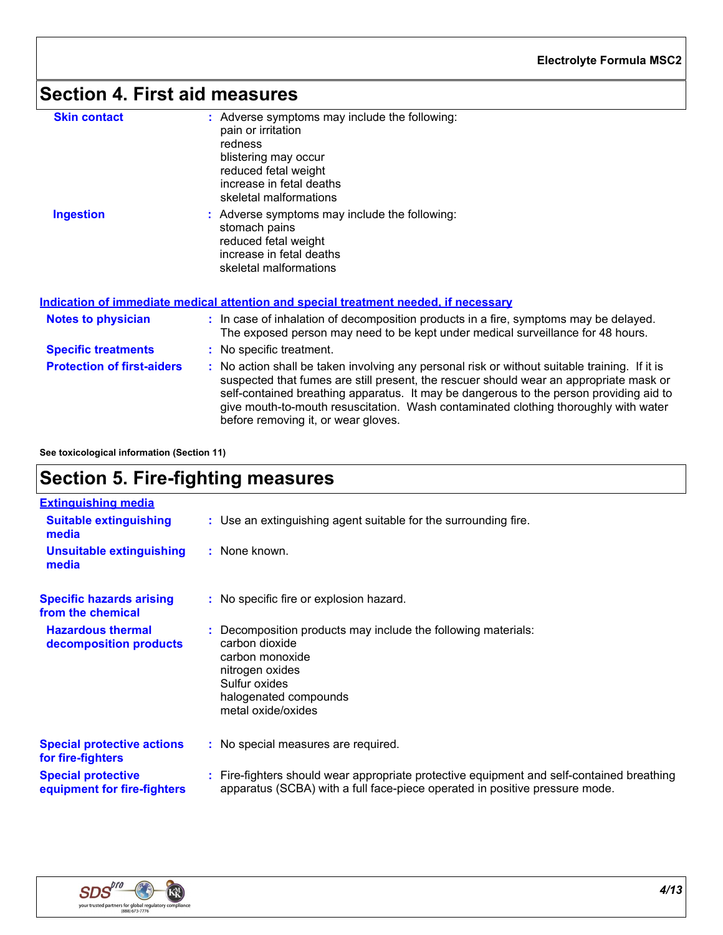# **Section 4. First aid measures**

| <b>Skin contact</b>               | : Adverse symptoms may include the following:<br>pain or irritation<br>redness<br>blistering may occur<br>reduced fetal weight<br>increase in fetal deaths<br>skeletal malformations                                                                                                                                                                                                                            |
|-----------------------------------|-----------------------------------------------------------------------------------------------------------------------------------------------------------------------------------------------------------------------------------------------------------------------------------------------------------------------------------------------------------------------------------------------------------------|
| <b>Ingestion</b>                  | : Adverse symptoms may include the following:<br>stomach pains<br>reduced fetal weight<br>increase in fetal deaths<br>skeletal malformations                                                                                                                                                                                                                                                                    |
|                                   | Indication of immediate medical attention and special treatment needed, if necessary                                                                                                                                                                                                                                                                                                                            |
| <b>Notes to physician</b>         | : In case of inhalation of decomposition products in a fire, symptoms may be delayed.<br>The exposed person may need to be kept under medical surveillance for 48 hours.                                                                                                                                                                                                                                        |
| <b>Specific treatments</b>        | : No specific treatment.                                                                                                                                                                                                                                                                                                                                                                                        |
| <b>Protection of first-aiders</b> | : No action shall be taken involving any personal risk or without suitable training. If it is<br>suspected that fumes are still present, the rescuer should wear an appropriate mask or<br>self-contained breathing apparatus. It may be dangerous to the person providing aid to<br>give mouth-to-mouth resuscitation. Wash contaminated clothing thoroughly with water<br>before removing it, or wear gloves. |

**See toxicological information (Section 11)**

### **Section 5. Fire-fighting measures**

| <b>Extinguishing media</b>                               |                                                                                                                                                                                       |
|----------------------------------------------------------|---------------------------------------------------------------------------------------------------------------------------------------------------------------------------------------|
| <b>Suitable extinguishing</b><br>media                   | : Use an extinguishing agent suitable for the surrounding fire.                                                                                                                       |
| <b>Unsuitable extinguishing</b><br>media                 | : None known.                                                                                                                                                                         |
| <b>Specific hazards arising</b><br>from the chemical     | : No specific fire or explosion hazard.                                                                                                                                               |
| <b>Hazardous thermal</b><br>decomposition products       | : Decomposition products may include the following materials:<br>carbon dioxide<br>carbon monoxide<br>nitrogen oxides<br>Sulfur oxides<br>halogenated compounds<br>metal oxide/oxides |
| <b>Special protective actions</b><br>for fire-fighters   | : No special measures are required.                                                                                                                                                   |
| <b>Special protective</b><br>equipment for fire-fighters | : Fire-fighters should wear appropriate protective equipment and self-contained breathing<br>apparatus (SCBA) with a full face-piece operated in positive pressure mode.              |

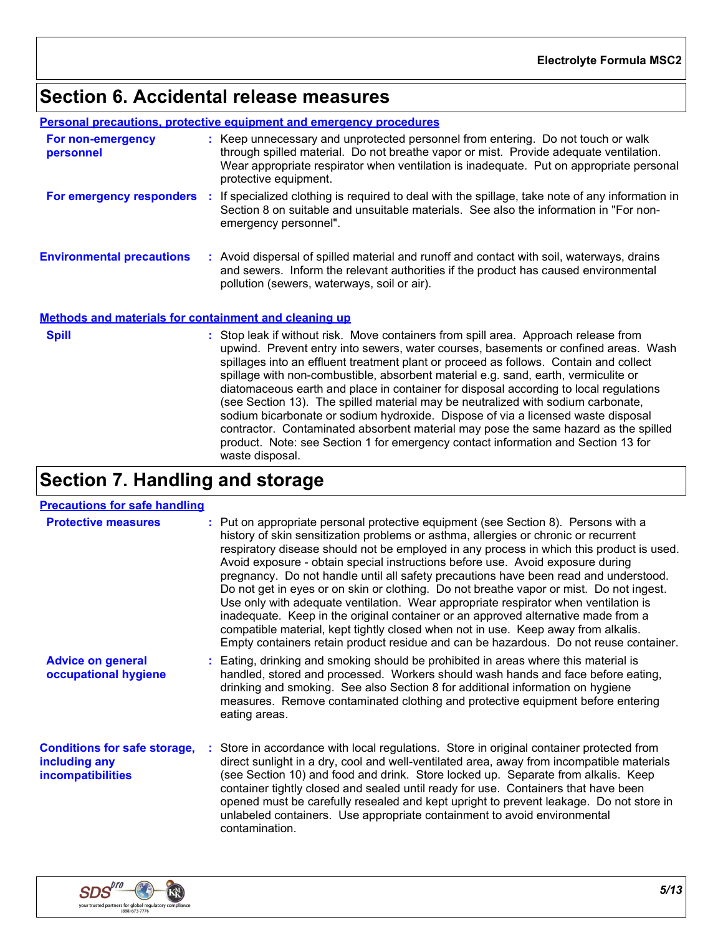# **Section 6. Accidental release measures**

**Personal precautions, protective equipment and emergency procedures**

| For non-emergency<br>personnel                               | : Keep unnecessary and unprotected personnel from entering. Do not touch or walk<br>through spilled material. Do not breathe vapor or mist. Provide adequate ventilation.<br>Wear appropriate respirator when ventilation is inadequate. Put on appropriate personal<br>protective equipment. |
|--------------------------------------------------------------|-----------------------------------------------------------------------------------------------------------------------------------------------------------------------------------------------------------------------------------------------------------------------------------------------|
| For emergency responders                                     | If specialized clothing is required to deal with the spillage, take note of any information in<br>Section 8 on suitable and unsuitable materials. See also the information in "For non-<br>emergency personnel".                                                                              |
| <b>Environmental precautions</b>                             | : Avoid dispersal of spilled material and runoff and contact with soil, waterways, drains<br>and sewers. Inform the relevant authorities if the product has caused environmental<br>pollution (sewers, waterways, soil or air).                                                               |
| <b>Methods and materials for containment and cleaning up</b> |                                                                                                                                                                                                                                                                                               |
| <b>Spill</b>                                                 | : Stop leak if without risk. Move containers from spill area. Approach release from<br>upwind. Prevent entry into sewers, water courses, basements or confined areas. Wash<br>enillanes into an effluent treatment plant or proceed as follows. Contain and collect                           |

| upwind. Prevent entry into sewers, water courses, basements or confined areas. Wash   |
|---------------------------------------------------------------------------------------|
| spillages into an effluent treatment plant or proceed as follows. Contain and collect |
| spillage with non-combustible, absorbent material e.g. sand, earth, vermiculite or    |
| diatomaceous earth and place in container for disposal according to local regulations |
| (see Section 13). The spilled material may be neutralized with sodium carbonate,      |
| sodium bicarbonate or sodium hydroxide. Dispose of via a licensed waste disposal      |
| contractor. Contaminated absorbent material may pose the same hazard as the spilled   |
| product. Note: see Section 1 for emergency contact information and Section 13 for     |
| waste disposal.                                                                       |
|                                                                                       |

# **Section 7. Handling and storage**

| <b>Precautions for safe handling</b>                                             |                                                                                                                                                                                                                                                                                                                                                                                                                                                                                                                                                                                                                                                                                                                                                                                                                                                                                                      |
|----------------------------------------------------------------------------------|------------------------------------------------------------------------------------------------------------------------------------------------------------------------------------------------------------------------------------------------------------------------------------------------------------------------------------------------------------------------------------------------------------------------------------------------------------------------------------------------------------------------------------------------------------------------------------------------------------------------------------------------------------------------------------------------------------------------------------------------------------------------------------------------------------------------------------------------------------------------------------------------------|
| <b>Protective measures</b>                                                       | : Put on appropriate personal protective equipment (see Section 8). Persons with a<br>history of skin sensitization problems or asthma, allergies or chronic or recurrent<br>respiratory disease should not be employed in any process in which this product is used.<br>Avoid exposure - obtain special instructions before use. Avoid exposure during<br>pregnancy. Do not handle until all safety precautions have been read and understood.<br>Do not get in eyes or on skin or clothing. Do not breathe vapor or mist. Do not ingest.<br>Use only with adequate ventilation. Wear appropriate respirator when ventilation is<br>inadequate. Keep in the original container or an approved alternative made from a<br>compatible material, kept tightly closed when not in use. Keep away from alkalis.<br>Empty containers retain product residue and can be hazardous. Do not reuse container. |
| <b>Advice on general</b><br>occupational hygiene                                 | : Eating, drinking and smoking should be prohibited in areas where this material is<br>handled, stored and processed. Workers should wash hands and face before eating,<br>drinking and smoking. See also Section 8 for additional information on hygiene<br>measures. Remove contaminated clothing and protective equipment before entering<br>eating areas.                                                                                                                                                                                                                                                                                                                                                                                                                                                                                                                                        |
| <b>Conditions for safe storage,</b><br>including any<br><b>incompatibilities</b> | Store in accordance with local regulations. Store in original container protected from<br>direct sunlight in a dry, cool and well-ventilated area, away from incompatible materials<br>(see Section 10) and food and drink. Store locked up. Separate from alkalis. Keep<br>container tightly closed and sealed until ready for use. Containers that have been<br>opened must be carefully resealed and kept upright to prevent leakage. Do not store in<br>unlabeled containers. Use appropriate containment to avoid environmental<br>contamination.                                                                                                                                                                                                                                                                                                                                               |

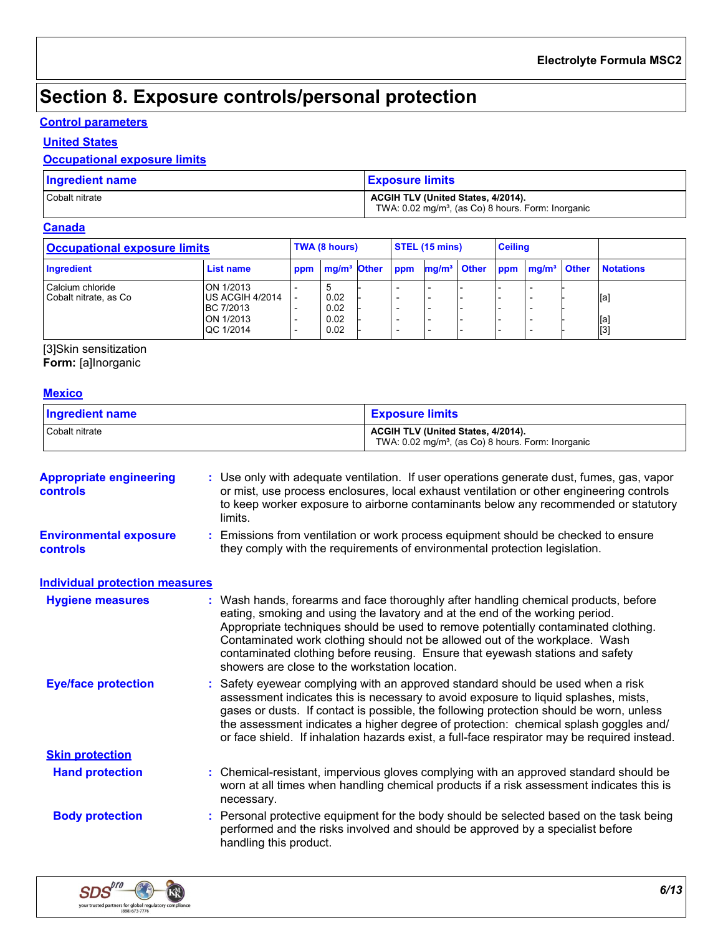# **Section 8. Exposure controls/personal protection**

#### **Control parameters**

#### **United States**

#### **Occupational exposure limits**

| <b>Ingredient name</b> | <b>Exposure limits</b>                                                                                      |
|------------------------|-------------------------------------------------------------------------------------------------------------|
| Cobalt nitrate         | <b>ACGIH TLV (United States, 4/2014).</b><br>TWA: 0.02 mg/m <sup>3</sup> , (as Co) 8 hours. Form: Inorganic |

#### **Canada**

| <b>Occupational exposure limits</b>        |                                                                                    |     | TWA (8 hours)                |     | <b>STEL (15 mins)</b> |                                                     | <b>Ceiling</b> |  |                   |
|--------------------------------------------|------------------------------------------------------------------------------------|-----|------------------------------|-----|-----------------------|-----------------------------------------------------|----------------|--|-------------------|
| Ingredient                                 | List name                                                                          | ppm | mg/m <sup>3</sup> Other      | ppm |                       | mg/m <sup>3</sup> Other ppm mg/m <sup>3</sup> Other |                |  | <b>Notations</b>  |
| Calcium chloride<br>Cobalt nitrate, as Co. | ON 1/2013<br>US ACGIH 4/2014<br><b>BC 7/2013</b><br><b>ION 1/2013</b><br>QC 1/2014 |     | 0.02<br>0.02<br>0.02<br>0.02 |     |                       |                                                     |                |  | [a]<br>[a]<br>[3] |

[3]Skin sensitization

**Form:** [a]Inorganic

#### **Mexico**

| <b>Ingredient name</b> | <b>Exposure limits</b>                                         |
|------------------------|----------------------------------------------------------------|
| Cobalt nitrate         | <b>ACGIH TLV (United States, 4/2014).</b>                      |
|                        | TWA: 0.02 mg/m <sup>3</sup> , (as Co) 8 hours. Form: Inorganic |

| <b>Appropriate engineering</b><br><b>controls</b> | : Use only with adequate ventilation. If user operations generate dust, fumes, gas, vapor<br>or mist, use process enclosures, local exhaust ventilation or other engineering controls<br>to keep worker exposure to airborne contaminants below any recommended or statutory<br>limits.                                                                                                                                                                                     |
|---------------------------------------------------|-----------------------------------------------------------------------------------------------------------------------------------------------------------------------------------------------------------------------------------------------------------------------------------------------------------------------------------------------------------------------------------------------------------------------------------------------------------------------------|
| <b>Environmental exposure</b><br><b>controls</b>  | Emissions from ventilation or work process equipment should be checked to ensure<br>they comply with the requirements of environmental protection legislation.                                                                                                                                                                                                                                                                                                              |
| <b>Individual protection measures</b>             |                                                                                                                                                                                                                                                                                                                                                                                                                                                                             |
| <b>Hygiene measures</b>                           | : Wash hands, forearms and face thoroughly after handling chemical products, before<br>eating, smoking and using the lavatory and at the end of the working period.<br>Appropriate techniques should be used to remove potentially contaminated clothing.<br>Contaminated work clothing should not be allowed out of the workplace. Wash<br>contaminated clothing before reusing. Ensure that eyewash stations and safety<br>showers are close to the workstation location. |
| <b>Eye/face protection</b>                        | : Safety eyewear complying with an approved standard should be used when a risk<br>assessment indicates this is necessary to avoid exposure to liquid splashes, mists,<br>gases or dusts. If contact is possible, the following protection should be worn, unless<br>the assessment indicates a higher degree of protection: chemical splash goggles and/<br>or face shield. If inhalation hazards exist, a full-face respirator may be required instead.                   |
| <b>Skin protection</b>                            |                                                                                                                                                                                                                                                                                                                                                                                                                                                                             |
| <b>Hand protection</b>                            | : Chemical-resistant, impervious gloves complying with an approved standard should be<br>worn at all times when handling chemical products if a risk assessment indicates this is<br>necessary.                                                                                                                                                                                                                                                                             |
| <b>Body protection</b>                            | : Personal protective equipment for the body should be selected based on the task being<br>performed and the risks involved and should be approved by a specialist before<br>handling this product.                                                                                                                                                                                                                                                                         |

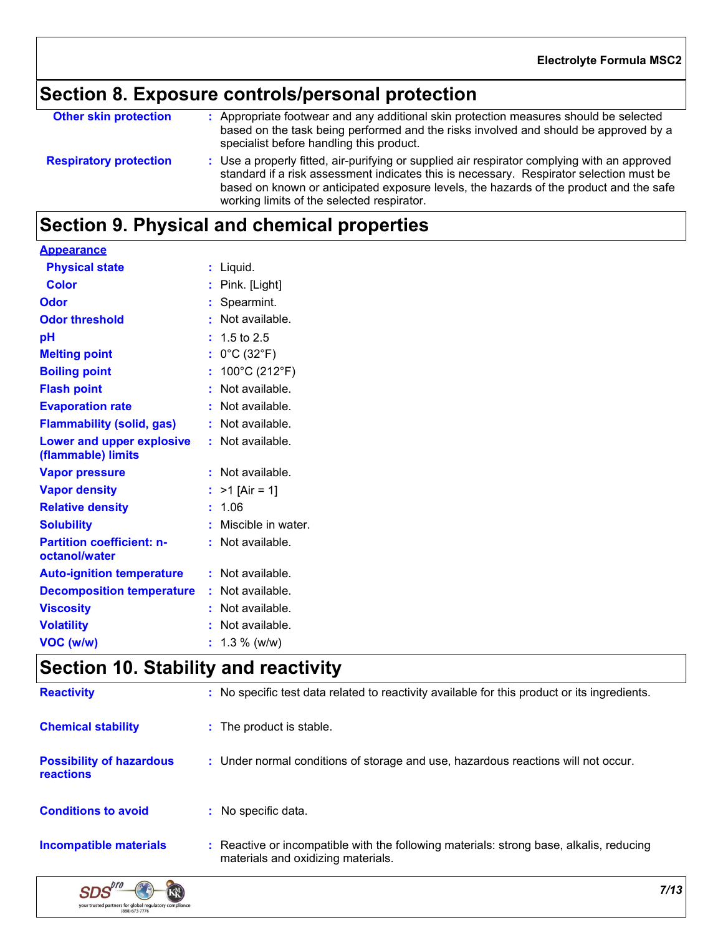# **Section 8. Exposure controls/personal protection**

| <b>Other skin protection</b>  | : Appropriate footwear and any additional skin protection measures should be selected<br>based on the task being performed and the risks involved and should be approved by a<br>specialist before handling this product.                                                                                                       |
|-------------------------------|---------------------------------------------------------------------------------------------------------------------------------------------------------------------------------------------------------------------------------------------------------------------------------------------------------------------------------|
| <b>Respiratory protection</b> | : Use a properly fitted, air-purifying or supplied air respirator complying with an approved<br>standard if a risk assessment indicates this is necessary. Respirator selection must be<br>based on known or anticipated exposure levels, the hazards of the product and the safe<br>working limits of the selected respirator. |

# **Section 9. Physical and chemical properties**

| <b>Appearance</b>                                 |                                      |
|---------------------------------------------------|--------------------------------------|
| <b>Physical state</b>                             | $:$ Liquid.                          |
| <b>Color</b>                                      | : Pink. [Light]                      |
| Odor                                              | : Spearmint.                         |
| <b>Odor threshold</b>                             | : Not available.                     |
| pH                                                | $: 1.5 \text{ to } 2.5$              |
| <b>Melting point</b>                              | : $0^{\circ}$ C (32 $^{\circ}$ F)    |
| <b>Boiling point</b>                              | : $100^{\circ}$ C (212 $^{\circ}$ F) |
| <b>Flash point</b>                                | : Not available.                     |
| <b>Evaporation rate</b>                           | : Not available.                     |
| <b>Flammability (solid, gas)</b>                  | : Not available.                     |
| Lower and upper explosive<br>(flammable) limits   | : Not available.                     |
| <b>Vapor pressure</b>                             | : Not available.                     |
| <b>Vapor density</b>                              | : $>1$ [Air = 1]                     |
| <b>Relative density</b>                           | : 1.06                               |
| <b>Solubility</b>                                 | : Miscible in water.                 |
| <b>Partition coefficient: n-</b><br>octanol/water | : Not available.                     |
| <b>Auto-ignition temperature</b>                  | : Not available.                     |
| <b>Decomposition temperature</b>                  | : Not available.                     |
| <b>Viscosity</b>                                  | : Not available.                     |
| <b>Volatility</b>                                 | : Not available.                     |
| VOC (w/w)                                         | $: 1.3 \%$ (w/w)                     |

# **Section 10. Stability and reactivity**

| <b>Reactivity</b>                                   | : No specific test data related to reactivity available for this product or its ingredients.                                  |
|-----------------------------------------------------|-------------------------------------------------------------------------------------------------------------------------------|
| <b>Chemical stability</b>                           | : The product is stable.                                                                                                      |
| <b>Possibility of hazardous</b><br><b>reactions</b> | : Under normal conditions of storage and use, hazardous reactions will not occur.                                             |
| <b>Conditions to avoid</b>                          | No specific data.                                                                                                             |
| Incompatible materials                              | : Reactive or incompatible with the following materials: strong base, alkalis, reducing<br>materials and oxidizing materials. |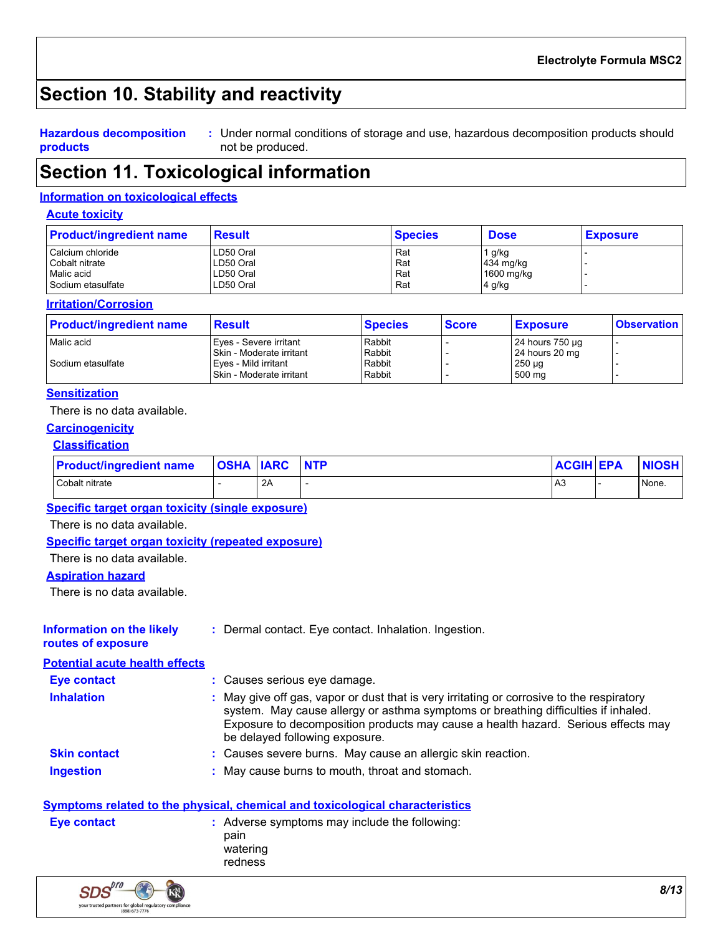# **Section 10. Stability and reactivity**

#### **Hazardous decomposition products**

Under normal conditions of storage and use, hazardous decomposition products should **:** not be produced.

### **Section 11. Toxicological information**

#### **Information on toxicological effects**

#### **Acute toxicity**

| <b>Product/ingredient name</b> | <b>Result</b> | <b>Species</b> | <b>Dose</b> | <b>Exposure</b> |
|--------------------------------|---------------|----------------|-------------|-----------------|
| Calcium chloride               | LD50 Oral     | Rat            | 1 g/kg      |                 |
| Cobalt nitrate                 | LD50 Oral     | Rat            | 434 mg/kg   |                 |
| Malic acid                     | LD50 Oral     | Rat            | 1600 mg/kg  |                 |
| Sodium etasulfate              | LD50 Oral     | Rat            | 4 g/kg      |                 |

#### **Irritation/Corrosion**

| <b>Product/ingredient name</b>  | <b>Result</b>                                                                                          | <b>Species</b>                       | <b>Score</b> | <b>Exposure</b>                                            | <b>Observation</b> |
|---------------------------------|--------------------------------------------------------------------------------------------------------|--------------------------------------|--------------|------------------------------------------------------------|--------------------|
| Malic acid<br>Sodium etasulfate | Eves - Severe irritant<br>Skin - Moderate irritant<br>Eves - Mild irritant<br>Skin - Moderate irritant | Rabbit<br>Rabbit<br>Rabbit<br>Rabbit |              | 24 hours 750 µg<br>24 hours 20 mg<br>$250 \mu g$<br>500 mg |                    |

#### **Sensitization**

There is no data available.

#### **Carcinogenicity**

#### **Classification**

| <b>Product/ingredient name</b> | <b>OSHA IARC</b> |    | <b>NTP</b> | <b>ACGIH EPA</b> | <b>NIOSH</b> |
|--------------------------------|------------------|----|------------|------------------|--------------|
| Cobalt nitrate                 |                  | 2A |            | A3               | None.        |

#### **Specific target organ toxicity (single exposure)**

There is no data available.

#### **Specific target organ toxicity (repeated exposure)**

#### There is no data available.

#### **Aspiration hazard**

There is no data available.

| <b>Information on the likely</b><br>routes of exposure | : Dermal contact. Eye contact. Inhalation. Ingestion.                                                                                                                                                                                                                                                  |
|--------------------------------------------------------|--------------------------------------------------------------------------------------------------------------------------------------------------------------------------------------------------------------------------------------------------------------------------------------------------------|
| <b>Potential acute health effects</b>                  |                                                                                                                                                                                                                                                                                                        |
| <b>Eye contact</b>                                     | : Causes serious eye damage.                                                                                                                                                                                                                                                                           |
| <b>Inhalation</b>                                      | : May give off gas, vapor or dust that is very irritating or corrosive to the respiratory<br>system. May cause allergy or asthma symptoms or breathing difficulties if inhaled.<br>Exposure to decomposition products may cause a health hazard. Serious effects may<br>be delayed following exposure. |
| <b>Skin contact</b>                                    | : Causes severe burns. May cause an allergic skin reaction.                                                                                                                                                                                                                                            |
| <b>Ingestion</b>                                       | : May cause burns to mouth, throat and stomach.                                                                                                                                                                                                                                                        |

#### **Symptoms related to the physical, chemical and toxicological characteristics**

| <b>Eve contact</b> | : Adverse symptoms may include the following:<br>pain |
|--------------------|-------------------------------------------------------|
|                    | watering<br>redness                                   |

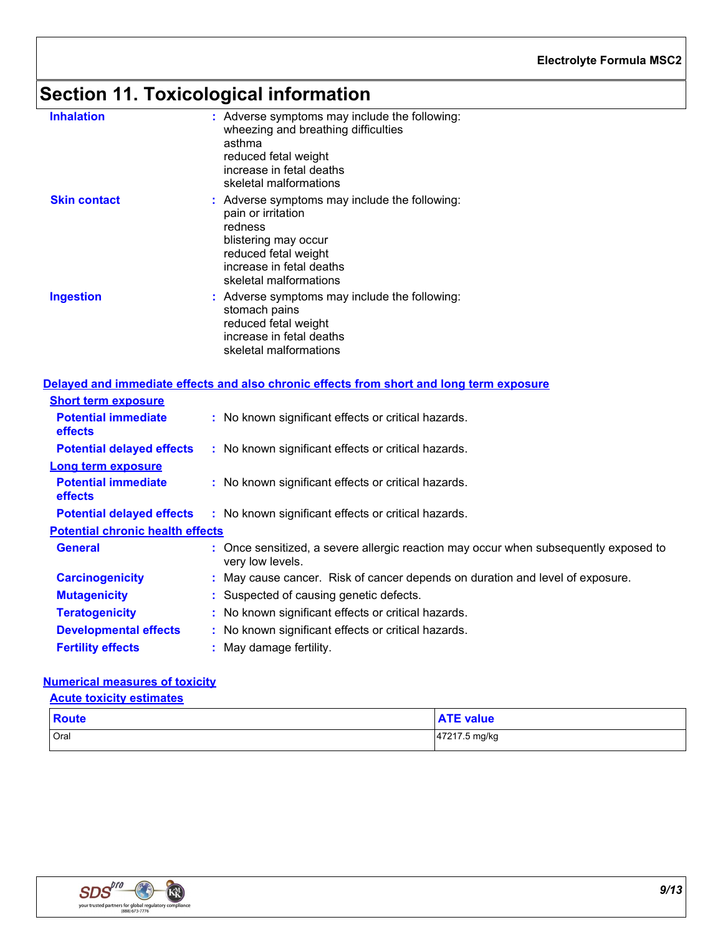# **Section 11. Toxicological information**

| <b>Inhalation</b>                            | : Adverse symptoms may include the following:<br>wheezing and breathing difficulties<br>asthma<br>reduced fetal weight<br>increase in fetal deaths<br>skeletal malformations         |
|----------------------------------------------|--------------------------------------------------------------------------------------------------------------------------------------------------------------------------------------|
| <b>Skin contact</b>                          | : Adverse symptoms may include the following:<br>pain or irritation<br>redness<br>blistering may occur<br>reduced fetal weight<br>increase in fetal deaths<br>skeletal malformations |
| <b>Ingestion</b>                             | : Adverse symptoms may include the following:<br>stomach pains<br>reduced fetal weight<br>increase in fetal deaths<br>skeletal malformations                                         |
|                                              | Delayed and immediate effects and also chronic effects from short and long term exposure                                                                                             |
| <b>Short term exposure</b>                   |                                                                                                                                                                                      |
| <b>Potential immediate</b><br><b>effects</b> | : No known significant effects or critical hazards.                                                                                                                                  |
| <b>Potential delayed effects</b>             | : No known significant effects or critical hazards.                                                                                                                                  |
|                                              |                                                                                                                                                                                      |

| <b>Potential delayed effects</b>             | : No known significant effects or critical hazards.                                                      |
|----------------------------------------------|----------------------------------------------------------------------------------------------------------|
| <b>Long term exposure</b>                    |                                                                                                          |
| <b>Potential immediate</b><br><b>effects</b> | : No known significant effects or critical hazards.                                                      |
| <b>Potential delayed effects</b>             | : No known significant effects or critical hazards.                                                      |
| <b>Potential chronic health effects</b>      |                                                                                                          |
| <b>General</b>                               | : Once sensitized, a severe allergic reaction may occur when subsequently exposed to<br>very low levels. |
| <b>Carcinogenicity</b>                       | : May cause cancer. Risk of cancer depends on duration and level of exposure.                            |
| <b>Mutagenicity</b>                          | : Suspected of causing genetic defects.                                                                  |
| <b>Teratogenicity</b>                        | : No known significant effects or critical hazards.                                                      |
| <b>Developmental effects</b>                 | : No known significant effects or critical hazards.                                                      |
| <b>Fertility effects</b>                     | : May damage fertility.                                                                                  |

#### **Numerical measures of toxicity**

#### **Acute toxicity estimates**

| <b>Route</b> | <b>ATE value</b> |
|--------------|------------------|
| Oral         | 47217.5 mg/kg    |

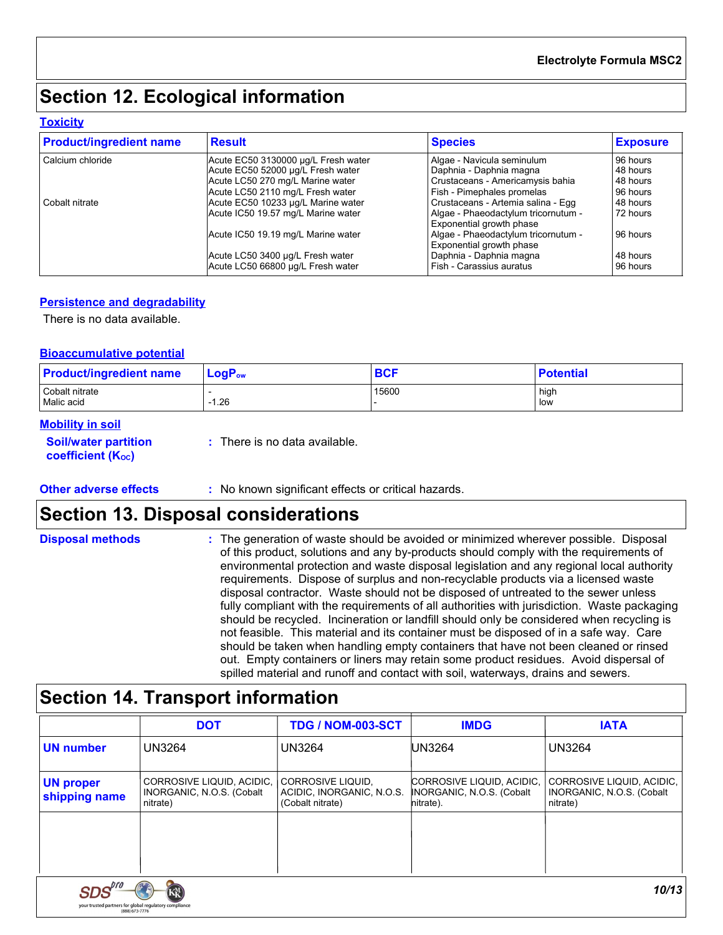# **Section 12. Ecological information**

#### **Toxicity**

| <b>Product/ingredient name</b> | <b>Result</b>                       | <b>Species</b>                                                  | <b>Exposure</b> |
|--------------------------------|-------------------------------------|-----------------------------------------------------------------|-----------------|
| Calcium chloride               | Acute EC50 3130000 µg/L Fresh water | Algae - Navicula seminulum                                      | 96 hours        |
|                                | Acute EC50 52000 µg/L Fresh water   | Daphnia - Daphnia magna                                         | 48 hours        |
|                                | Acute LC50 270 mg/L Marine water    | Crustaceans - Americamysis bahia                                | 48 hours        |
|                                | Acute LC50 2110 mg/L Fresh water    | Fish - Pimephales promelas                                      | 96 hours        |
| Cobalt nitrate                 | Acute EC50 10233 µg/L Marine water  | Crustaceans - Artemia salina - Egg                              | 48 hours        |
|                                | Acute IC50 19.57 mg/L Marine water  | Algae - Phaeodactylum tricornutum -<br>Exponential growth phase | 72 hours        |
|                                | Acute IC50 19.19 mg/L Marine water  | Algae - Phaeodactylum tricornutum -<br>Exponential growth phase | 96 hours        |
|                                | Acute LC50 3400 µg/L Fresh water    | Daphnia - Daphnia magna                                         | 48 hours        |
|                                | Acute LC50 66800 µg/L Fresh water   | Fish - Carassius auratus                                        | 96 hours        |

#### **Persistence and degradability**

There is no data available.

#### **Bioaccumulative potential**

| <b>Product/ingredient name</b> | $LogP_{ow}$ | <b>BCF</b> | <b>Potential</b> |
|--------------------------------|-------------|------------|------------------|
| Cobalt nitrate<br>Malic acid   | $-1.26$     | 15600      | high<br>low      |
|                                |             |            |                  |

#### **Mobility in soil**

**Soil/water partition coefficient (KOC)**

**:** There is no data available.

**Other adverse effects** : No known significant effects or critical hazards.

### **Section 13. Disposal considerations**

| <b>Disposal methods</b> | : The generation of waste should be avoided or minimized wherever possible. Disposal<br>of this product, solutions and any by-products should comply with the requirements of<br>environmental protection and waste disposal legislation and any regional local authority<br>requirements. Dispose of surplus and non-recyclable products via a licensed waste<br>disposal contractor. Waste should not be disposed of untreated to the sewer unless<br>fully compliant with the requirements of all authorities with jurisdiction. Waste packaging<br>should be recycled. Incineration or landfill should only be considered when recycling is<br>not feasible. This material and its container must be disposed of in a safe way. Care<br>should be taken when handling empty containers that have not been cleaned or rinsed<br>out. Empty containers or liners may retain some product residues. Avoid dispersal of |
|-------------------------|-------------------------------------------------------------------------------------------------------------------------------------------------------------------------------------------------------------------------------------------------------------------------------------------------------------------------------------------------------------------------------------------------------------------------------------------------------------------------------------------------------------------------------------------------------------------------------------------------------------------------------------------------------------------------------------------------------------------------------------------------------------------------------------------------------------------------------------------------------------------------------------------------------------------------|
|                         | spilled material and runoff and contact with soil, waterways, drains and sewers.                                                                                                                                                                                                                                                                                                                                                                                                                                                                                                                                                                                                                                                                                                                                                                                                                                        |

### **Section 14. Transport information**

|                                                                          | <b>DOT</b>                                                           | TDG / NOM-003-SCT                                                  | <b>IMDG</b>                                                         | <b>IATA</b>                                                        |  |  |
|--------------------------------------------------------------------------|----------------------------------------------------------------------|--------------------------------------------------------------------|---------------------------------------------------------------------|--------------------------------------------------------------------|--|--|
| <b>UN</b> number                                                         | <b>UN3264</b>                                                        | <b>UN3264</b>                                                      | UN3264                                                              | <b>UN3264</b>                                                      |  |  |
| <b>UN proper</b><br>shipping name                                        | CORROSIVE LIQUID, ACIDIC,  <br>INORGANIC, N.O.S. (Cobalt<br>nitrate) | CORROSIVE LIQUID.<br>ACIDIC, INORGANIC, N.O.S.<br>(Cobalt nitrate) | CORROSIVE LIQUID, ACIDIC,<br>INORGANIC, N.O.S. (Cobalt<br>nitrate). | CORROSIVE LIQUID, ACIDIC,<br>INORGANIC, N.O.S. (Cobalt<br>nitrate) |  |  |
|                                                                          |                                                                      |                                                                    |                                                                     |                                                                    |  |  |
|                                                                          |                                                                      |                                                                    |                                                                     |                                                                    |  |  |
|                                                                          |                                                                      |                                                                    |                                                                     | 10/13                                                              |  |  |
| your trusted partners for global regulatory compliance<br>(888) 673-7776 |                                                                      |                                                                    |                                                                     |                                                                    |  |  |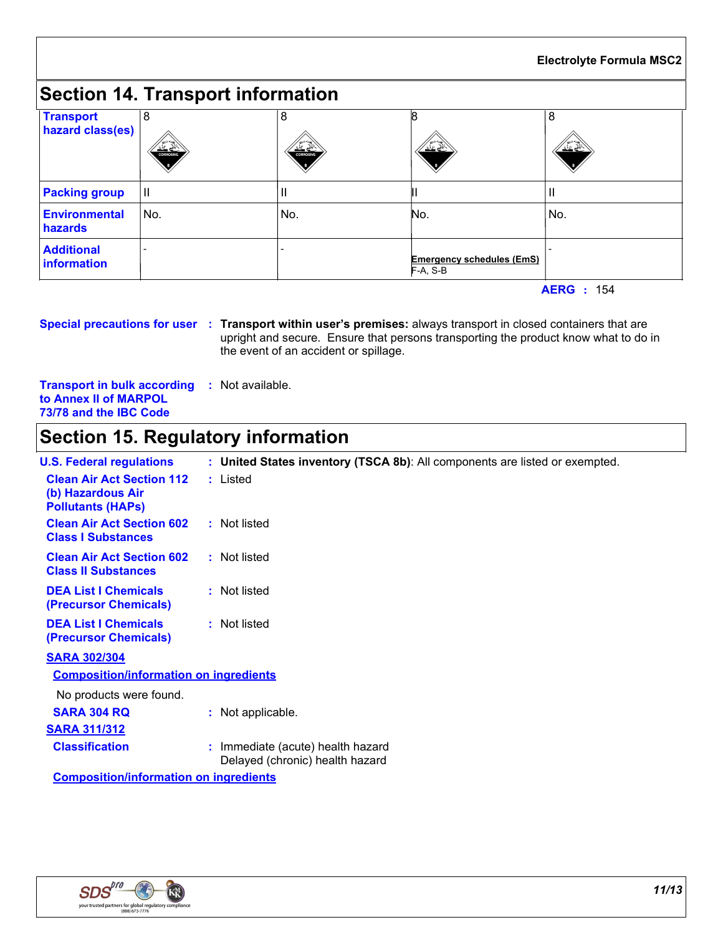# **Section 14. Transport information**

| <b>Transport</b><br>hazard class(es) | 8<br>- کیلند<br><b>CORROSVE</b> | 8<br>≚≝<br><b>CORROS VE</b> | પ∠¥                                            | 8<br>પ≚≚ |
|--------------------------------------|---------------------------------|-----------------------------|------------------------------------------------|----------|
| <b>Packing group</b>                 | IШ                              | Ш                           |                                                |          |
| <b>Environmental</b><br>hazards      | No.                             | No.                         | No.                                            | No.      |
| <b>Additional</b><br>information     |                                 |                             | <b>Emergency schedules (EmS)</b><br>$F-A, S-B$ |          |

**AERG :** 154

**Special precautions for user Transport within user's premises:** always transport in closed containers that are **:** upright and secure. Ensure that persons transporting the product know what to do in the event of an accident or spillage.

**Transport in bulk according :** Not available. **to Annex II of MARPOL 73/78 and the IBC Code**

# **Section 15. Regulatory information**

| <b>U.S. Federal regulations</b>                                                   | : United States inventory (TSCA 8b): All components are listed or exempted. |
|-----------------------------------------------------------------------------------|-----------------------------------------------------------------------------|
| <b>Clean Air Act Section 112</b><br>(b) Hazardous Air<br><b>Pollutants (HAPS)</b> | : Listed                                                                    |
| <b>Clean Air Act Section 602</b><br><b>Class I Substances</b>                     | : Not listed                                                                |
| <b>Clean Air Act Section 602</b><br><b>Class II Substances</b>                    | : Not listed                                                                |
| <b>DEA List I Chemicals</b><br>(Precursor Chemicals)                              | : Not listed                                                                |
| <b>DEA List I Chemicals</b><br>(Precursor Chemicals)                              | : Not listed                                                                |
| <b>SARA 302/304</b>                                                               |                                                                             |
| <b>Composition/information on ingredients</b>                                     |                                                                             |
| No products were found.                                                           |                                                                             |
| <b>SARA 304 RQ</b>                                                                | : Not applicable.                                                           |
| <b>SARA 311/312</b>                                                               |                                                                             |
| <b>Classification</b>                                                             | : Immediate (acute) health hazard<br>Delayed (chronic) health hazard        |
| O a mon a a bha na fhafa ma a tha n-an-ba na a banta a ba                         |                                                                             |

**Composition/information on ingredients**

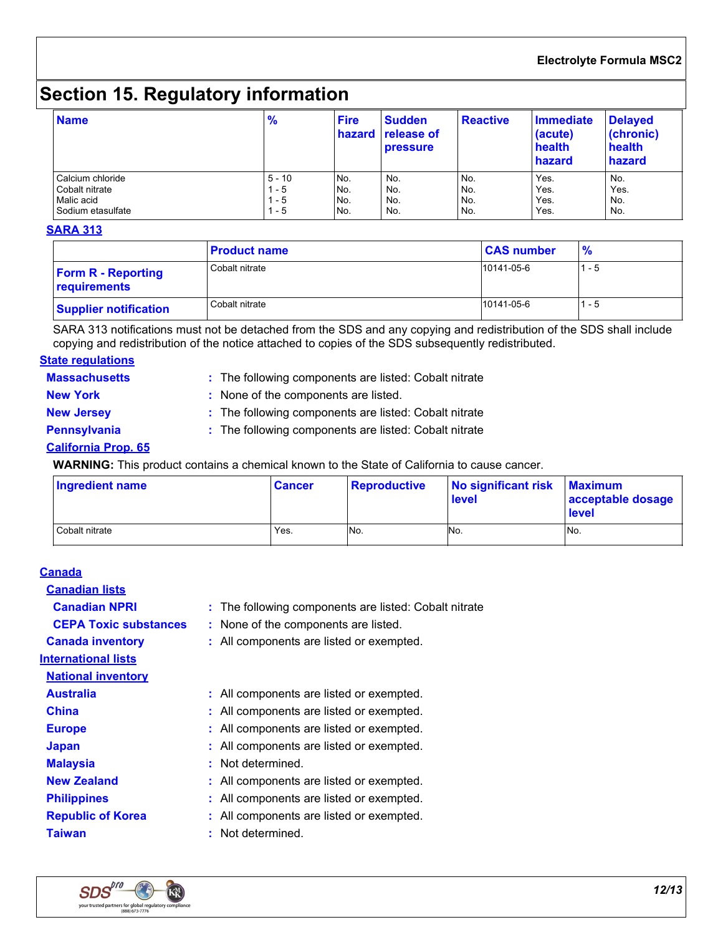#### **Electrolyte Formula MSC2**

# **Section 15. Regulatory information**

| <b>Name</b>       | $\frac{9}{6}$ | <b>Fire</b> | <b>Sudden</b><br>hazard release of<br>pressure | <b>Reactive</b> | Immediate<br>(acute)<br>health<br>hazard | <b>Delayed</b><br>(chronic)<br>health<br>hazard |
|-------------------|---------------|-------------|------------------------------------------------|-----------------|------------------------------------------|-------------------------------------------------|
| Calcium chloride  | $5 - 10$      | No.         | No.                                            | No.             | Yes.                                     | No.                                             |
| Cobalt nitrate    | - 5           | No.         | No.                                            | No.             | Yes.                                     | Yes.                                            |
| Malic acid        | - 5           | No.         | No.                                            | No.             | Yes.                                     | No.                                             |
| Sodium etasulfate | l - 5         | No.         | No.                                            | No.             | Yes.                                     | No.                                             |

#### **SARA 313**

|                                           | <b>Product name</b> | <b>CAS number</b> | $\frac{9}{6}$ |
|-------------------------------------------|---------------------|-------------------|---------------|
| <b>Form R - Reporting</b><br>requirements | Cobalt nitrate      | 10141-05-6        | - 5           |
| <b>Supplier notification</b>              | Cobalt nitrate      | 10141-05-6        | l - 5         |

SARA 313 notifications must not be detached from the SDS and any copying and redistribution of the SDS shall include copying and redistribution of the notice attached to copies of the SDS subsequently redistributed.

#### **State regulations**

- **Massachusetts :**
- : The following components are listed: Cobalt nitrate

**New York :** None of the components are listed.

- **New Jersey :** The following components are listed: Cobalt nitrate
- 
- 
- **Pennsylvania :** The following components are listed: Cobalt nitrate

#### **California Prop. 65**

**WARNING:** This product contains a chemical known to the State of California to cause cancer.

| <b>Ingredient name</b> | <b>Cancer</b> | <b>Reproductive</b> | No significant risk<br><b>level</b> | <b>Maximum</b><br>acceptable dosage<br><b>level</b> |
|------------------------|---------------|---------------------|-------------------------------------|-----------------------------------------------------|
| Cobalt nitrate         | Yes.          | No.                 | No.                                 | No.                                                 |

#### **Canada**

| <b>Canadian lists</b>        |                                                       |
|------------------------------|-------------------------------------------------------|
| <b>Canadian NPRI</b>         | : The following components are listed: Cobalt nitrate |
| <b>CEPA Toxic substances</b> | : None of the components are listed.                  |
| <b>Canada inventory</b>      | : All components are listed or exempted.              |
| <b>International lists</b>   |                                                       |
| <b>National inventory</b>    |                                                       |
| <b>Australia</b>             | : All components are listed or exempted.              |
| <b>China</b>                 | : All components are listed or exempted.              |
| <b>Europe</b>                | : All components are listed or exempted.              |
| <b>Japan</b>                 | : All components are listed or exempted.              |
| <b>Malaysia</b>              | : Not determined.                                     |
| <b>New Zealand</b>           | : All components are listed or exempted.              |
| <b>Philippines</b>           | : All components are listed or exempted.              |
| <b>Republic of Korea</b>     | All components are listed or exempted.                |
| <b>Taiwan</b>                | Not determined.                                       |
|                              |                                                       |